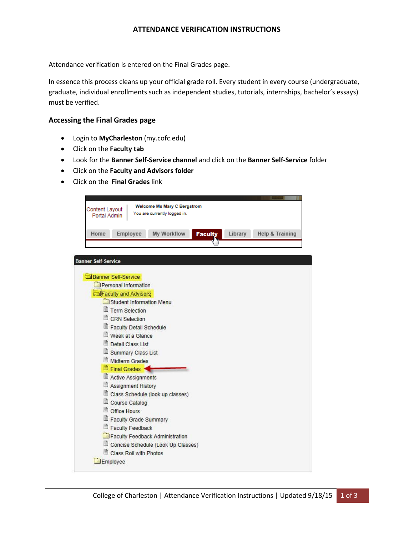## **ATTENDANCE VERIFICATION INSTRUCTIONS**

Attendance verification is entered on the Final Grades page.

In essence this process cleans up your official grade roll. Every student in every course (undergraduate, graduate, individual enrollments such as independent studies, tutorials, internships, bachelor's essays) must be verified.

### **Accessing the Final Grades page**

- Login to **MyCharleston** (my.cofc.edu)
- Click on the **Faculty tab**
- Look for the **Banner Self-Service channel** and click on the **Banner Self-Service** folder
- Click on the **Faculty and Advisors folder**
- Click on the **Final Grades** link

| <b>Welcome Ms Mary C Bergstrom</b>                             |                 |
|----------------------------------------------------------------|-----------------|
| Content Layout<br>You are currently logged in.<br>Portal Admin |                 |
|                                                                |                 |
| Home<br>Employee<br>My Workflow<br>Library<br><b>Faculty</b>   | Help & Training |
|                                                                |                 |
|                                                                |                 |
| <b>Banner Self-Service</b>                                     |                 |
| Banner Self-Service                                            |                 |
| Personal Information                                           |                 |
| <b>NFaculty and Advisors</b>                                   |                 |
| Student Information Menu                                       |                 |
| Term Selection                                                 |                 |
| CRN Selection                                                  |                 |
| Faculty Detail Schedule                                        |                 |
| Week at a Glance                                               |                 |
| Detail Class List                                              |                 |
| Summary Class List                                             |                 |
| Midterm Grades                                                 |                 |
| Final Grades                                                   |                 |
| Active Assignments                                             |                 |
| Assignment History                                             |                 |
| Class Schedule (look up classes)                               |                 |
| Course Catalog                                                 |                 |
| Office Hours                                                   |                 |
| Faculty Grade Summary                                          |                 |
| Faculty Feedback                                               |                 |
| Faculty Feedback Administration                                |                 |
| Concise Schedule (Look Up Classes)                             |                 |
| Class Roll with Photos                                         |                 |
|                                                                |                 |
| Employee                                                       |                 |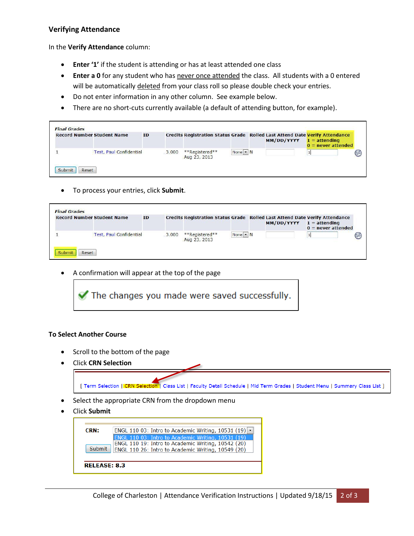## **Verifying Attendance**

In the **Verify Attendance** column:

- **Enter '1'** if the student is attending or has at least attended one class
- **Enter a 0** for any student who has never once attended the class. All students with a 0 entered will be automatically deleted from your class roll so please double check your entries.
- Do not enter information in any other column. See example below.
- There are no short-cuts currently available (a default of attending button, for example).

| <b>Record Number Student Name</b> |                                | ID |       |                                |            | Credits Registration Status Grade Rolled Last Attend Date Verify Attendance<br>MM/DD/YYYY | $1 =$ attending<br>$0 =$ never attended |
|-----------------------------------|--------------------------------|----|-------|--------------------------------|------------|-------------------------------------------------------------------------------------------|-----------------------------------------|
|                                   | <b>Test, Paul Confidential</b> |    | 3.000 | **Registered**<br>Aug 23, 2013 | $None - N$ |                                                                                           |                                         |

To process your entries, click **Submit**.

| <b>Record Number Student Name</b> | ID |       |                                |            | Credits Registration Status Grade Rolled Last Attend Date Verify Attendance<br>MM/DD/YYYY | $1 =$ attending<br>$0 =$ never attended |
|-----------------------------------|----|-------|--------------------------------|------------|-------------------------------------------------------------------------------------------|-----------------------------------------|
| <b>Test, Paul Confidential</b>    |    | 3.000 | **Registered**<br>Aug 23, 2013 | $None - N$ |                                                                                           | ⋐                                       |

A confirmation will appear at the top of the page



### **To Select Another Course**

- Scroll to the bottom of the page
- Click **CRN Selection**



Click **Submit**